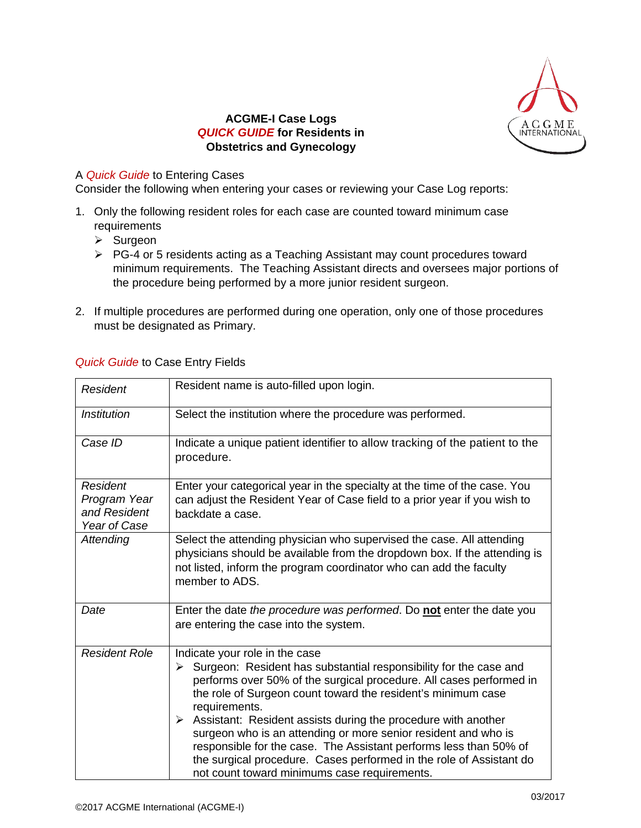

## **ACGME-I Case Logs** *QUICK GUIDE* **for Residents in Obstetrics and Gynecology**

## A *Quick Guide* to Entering Cases

Consider the following when entering your cases or reviewing your Case Log reports:

- 1. Only the following resident roles for each case are counted toward minimum case requirements
	- $\triangleright$  Surgeon
	- PG-4 or 5 residents acting as a Teaching Assistant may count procedures toward minimum requirements. The Teaching Assistant directs and oversees major portions of the procedure being performed by a more junior resident surgeon.
- 2. If multiple procedures are performed during one operation, only one of those procedures must be designated as Primary.

| Resident                                                 | Resident name is auto-filled upon login.                                                                                                                                                                                                                                                                                                                                                                                                                                                                                                                                                             |
|----------------------------------------------------------|------------------------------------------------------------------------------------------------------------------------------------------------------------------------------------------------------------------------------------------------------------------------------------------------------------------------------------------------------------------------------------------------------------------------------------------------------------------------------------------------------------------------------------------------------------------------------------------------------|
| <b>Institution</b>                                       | Select the institution where the procedure was performed.                                                                                                                                                                                                                                                                                                                                                                                                                                                                                                                                            |
| Case ID                                                  | Indicate a unique patient identifier to allow tracking of the patient to the<br>procedure.                                                                                                                                                                                                                                                                                                                                                                                                                                                                                                           |
| Resident<br>Program Year<br>and Resident<br>Year of Case | Enter your categorical year in the specialty at the time of the case. You<br>can adjust the Resident Year of Case field to a prior year if you wish to<br>backdate a case.                                                                                                                                                                                                                                                                                                                                                                                                                           |
| Attending                                                | Select the attending physician who supervised the case. All attending<br>physicians should be available from the dropdown box. If the attending is<br>not listed, inform the program coordinator who can add the faculty<br>member to ADS.                                                                                                                                                                                                                                                                                                                                                           |
| Date                                                     | Enter the date the procedure was performed. Do not enter the date you<br>are entering the case into the system.                                                                                                                                                                                                                                                                                                                                                                                                                                                                                      |
| <b>Resident Role</b>                                     | Indicate your role in the case<br>Surgeon: Resident has substantial responsibility for the case and<br>➤<br>performs over 50% of the surgical procedure. All cases performed in<br>the role of Surgeon count toward the resident's minimum case<br>requirements.<br>Assistant: Resident assists during the procedure with another<br>➤<br>surgeon who is an attending or more senior resident and who is<br>responsible for the case. The Assistant performs less than 50% of<br>the surgical procedure. Cases performed in the role of Assistant do<br>not count toward minimums case requirements. |

## *Quick Guide* to Case Entry Fields